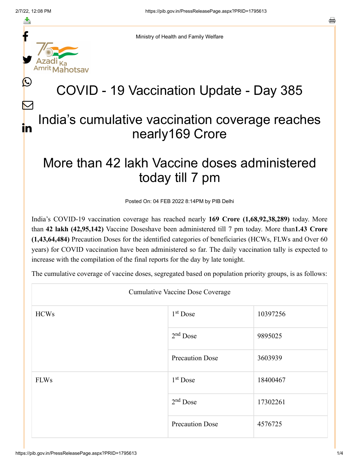f

≛

y.

L

 $\bm{\nabla}$ 

s

Ministry of Health and Family Welfare

## COVID - 19 Vaccination Update - Day 385

## India's cumulative vaccination coverage reaches nearly169 Crore in

## More than 42 lakh Vaccine doses administered today till 7 pm

Posted On: 04 FEB 2022 8:14PM by PIB Delhi

India's COVID-19 vaccination coverage has reached nearly **169 Crore (1,68,92,38,289)** today. More than **42 lakh (42,95,142)** Vaccine Doseshave been administered till 7 pm today. More than**1.43 Crore (1,43,64,484)** Precaution Doses for the identified categories of beneficiaries (HCWs, FLWs and Over 60 years) for COVID vaccination have been administered so far. The daily vaccination tally is expected to increase with the compilation of the final reports for the day by late tonight.

The cumulative coverage of vaccine doses, segregated based on population priority groups, is as follows:

| <b>Cumulative Vaccine Dose Coverage</b> |                        |          |  |  |
|-----------------------------------------|------------------------|----------|--|--|
| <b>HCWs</b>                             | $1st$ Dose             | 10397256 |  |  |
|                                         | $2nd$ Dose             | 9895025  |  |  |
|                                         | <b>Precaution Dose</b> | 3603939  |  |  |
| <b>FLWs</b>                             | 1 <sup>st</sup> Dose   | 18400467 |  |  |
|                                         | $2nd$ Dose             | 17302261 |  |  |
|                                         | <b>Precaution Dose</b> | 4576725  |  |  |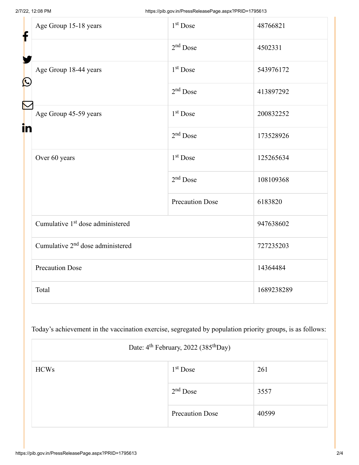| f<br>$\bf \Omega$ | Age Group 15-18 years                        | $1st$ Dose             | 48766821   |
|-------------------|----------------------------------------------|------------------------|------------|
|                   |                                              | $2nd$ Dose             | 4502331    |
|                   | Age Group 18-44 years                        | 1 <sup>st</sup> Dose   | 543976172  |
|                   |                                              | $2nd$ Dose             | 413897292  |
| in                | Age Group 45-59 years                        | 1 <sup>st</sup> Dose   | 200832252  |
|                   |                                              | $2nd$ Dose             | 173528926  |
|                   | Over 60 years                                | 1 <sup>st</sup> Dose   | 125265634  |
|                   |                                              | $2nd$ Dose             | 108109368  |
|                   |                                              | <b>Precaution Dose</b> | 6183820    |
|                   | Cumulative 1 <sup>st</sup> dose administered |                        | 947638602  |
|                   | Cumulative 2 <sup>nd</sup> dose administered |                        | 727235203  |
|                   | <b>Precaution Dose</b>                       |                        | 14364484   |
|                   | Total                                        |                        | 1689238289 |

Today's achievement in the vaccination exercise, segregated by population priority groups, is as follows:

| Date: 4 <sup>th</sup> February, 2022 (385 <sup>th</sup> Day) |                        |       |  |
|--------------------------------------------------------------|------------------------|-------|--|
| <b>HCWs</b>                                                  | $1st$ Dose             | 261   |  |
|                                                              | $2nd$ Dose             | 3557  |  |
|                                                              | <b>Precaution Dose</b> | 40599 |  |

Г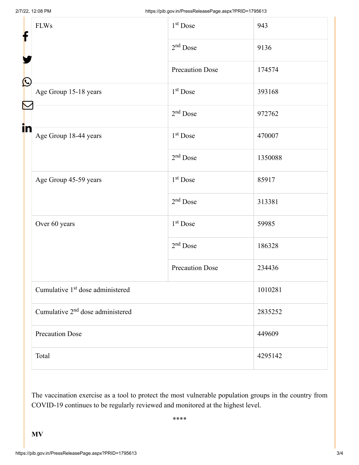| f            | <b>FLWs</b>                                  | 1 <sup>st</sup> Dose   | 943     |  |
|--------------|----------------------------------------------|------------------------|---------|--|
|              |                                              | $2nd$ Dose             | 9136    |  |
|              |                                              | <b>Precaution Dose</b> | 174574  |  |
| $\bf \Omega$ | Age Group 15-18 years                        | $1st$ Dose             | 393168  |  |
|              |                                              | $2nd$ Dose             | 972762  |  |
| in           | Age Group 18-44 years                        | $1st$ Dose             | 470007  |  |
|              |                                              | $2nd$ Dose             | 1350088 |  |
|              | Age Group 45-59 years                        | $1st$ Dose             | 85917   |  |
|              |                                              | $2nd$ Dose             | 313381  |  |
|              | Over 60 years                                | 1 <sup>st</sup> Dose   | 59985   |  |
|              |                                              | $2nd$ Dose             | 186328  |  |
|              |                                              | <b>Precaution Dose</b> | 234436  |  |
|              | Cumulative 1 <sup>st</sup> dose administered |                        | 1010281 |  |
|              | Cumulative 2 <sup>nd</sup> dose administered |                        | 2835252 |  |
|              | <b>Precaution Dose</b>                       |                        | 449609  |  |
|              | Total                                        |                        | 4295142 |  |

The vaccination exercise as a tool to protect the most vulnerable population groups in the country from COVID-19 continues to be regularly reviewed and monitored at the highest level.

\*\*\*\*

**MV**